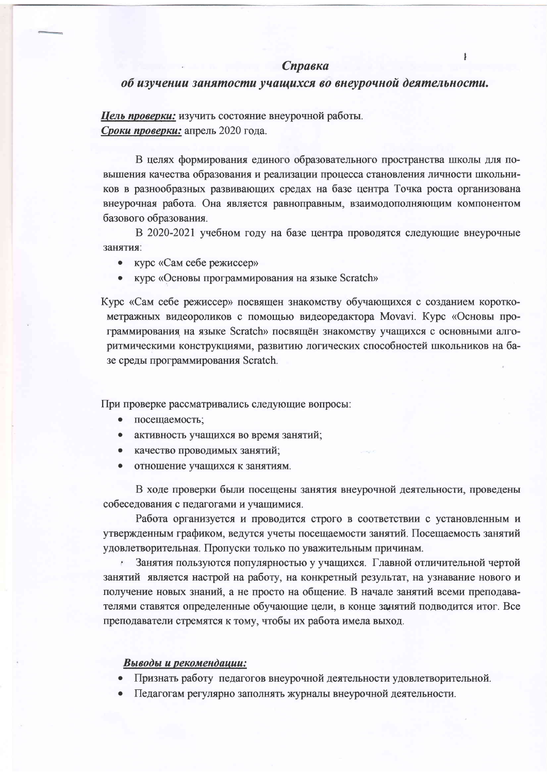$\mathbf{I}$ 

## об изучении занятости учащихся во внеурочной деятельности.

Цель проверки: изучить состояние внеурочной работы. Сроки проверки: апрель 2020 года.

В целях формирования единого образовательного пространства школы для повышения качества образования и реализации процесса становления личности школьников в разнообразных развивающих средах на базе центра Точка роста организована внеурочная работа. Она является равноправным, взаимодополняющим компонентом базового образования.

В 2020-2021 учебном году на базе центра проводятся следующие внеурочные занятия:

- курс «Сам себе режиссер»
- курс «Основы программирования на языке Scratch»

Курс «Сам себе режиссер» посвящен знакомству обучающихся с созданием короткометражных видеороликов с помощью видеоредактора Movavi. Курс «Основы программирования на языке Scratch» посвящён знакомству учащихся с основными алгоритмическими конструкциями, развитию логических способностей школьников на базе среды программирования Scratch.

При проверке рассматривались следующие вопросы:

- $\bullet$ посещаемость;
- активность учащихся во время занятий;
- качество проводимых занятий;
- отношение учащихся к занятиям.

В ходе проверки были посещены занятия внеурочной деятельности, проведены собеседования с педагогами и учащимися.

Работа организуется и проводится строго в соответствии с установленным и утвержденным графиком, ведутся учеты посещаемости занятий. Посещаемость занятий удовлетворительная. Пропуски только по уважительным причинам.

Занятия пользуются популярностью у учащихся. Главной отличительной чертой ×. занятий является настрой на работу, на конкретный результат, на узнавание нового и получение новых знаний, а не просто на общение. В начале занятий всеми преподавателями ставятся определенные обучающие цели, в конце занятий подводится итог. Все преподаватели стремятся к тому, чтобы их работа имела выход.

## Выводы и рекомендации:

- Признать работу педагогов внеурочной деятельности удовлетворительной.
- Педагогам регулярно заполнять журналы внеурочной деятельности.